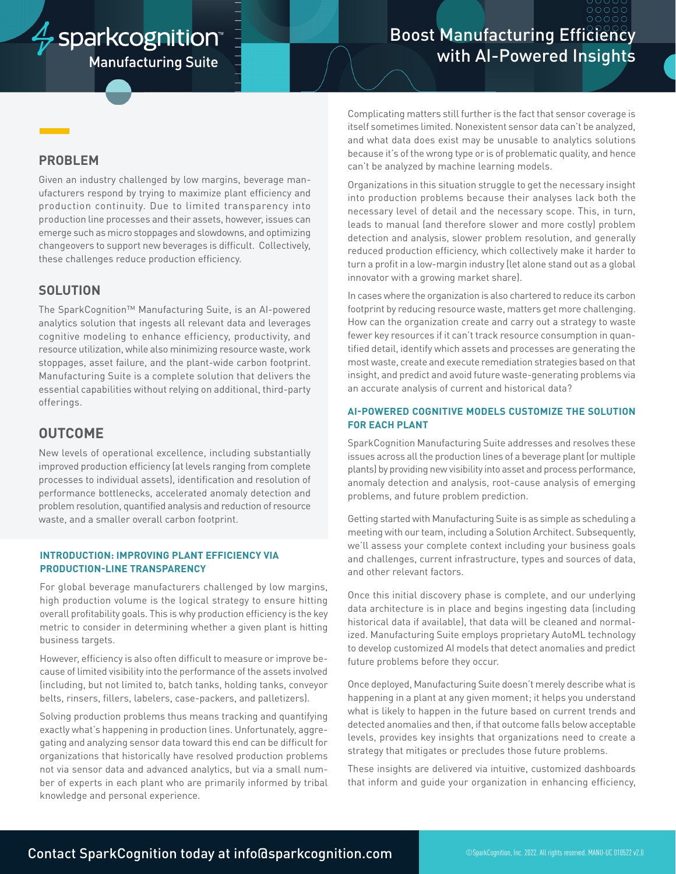# $\frac{1}{V}$  sparkcognition

**Manufacturing Suite** 

# **Boost Manufacturing Efficiency** with AI-Powered Insights

## **PROBLEM**

Given an industry challenged by low margins, beverage manufacturers respond by trying to maximize plant efficiency and production continuity. Due to limited transparency into production line processes and their assets, however, issues can emerge such as micro stoppages and slowdowns, and optimizing changeovers to support new beverages is difficult. Collectively, these challenges reduce production efficiency.

## **SOLUTION**

The SparkCognition™ Manufacturing Suite, is an AI-powered analytics solution that ingests all relevant data and leverages cognitive modeling to enhance efficiency, productivity, and resource utilization, while also minimizing resource waste, work stoppages, asset failure, and the plant-wide carbon footprint. Manufacturing Suite is a complete solution that delivers the essential capabilities without relying on additional, third-party offerings.

# **OUTCOME**

New levels of operational excellence, including substantially improved production efficiency (at levels ranging from complete processes to individual assets), identification and resolution of performance bottlenecks, accelerated anomaly detection and problem resolution, quantified analysis and reduction of resource waste, and a smaller overall carbon footprint.

#### **INTRODUCTION: IMPROVING PLANT EFFICIENCY VIA PRODUCTION-LINE TRANSPARENCY**

For global beverage manufacturers challenged by low margins, high production volume is the logical strategy to ensure hitting overall profitability goals. This is why production efficiency is the key metric to consider in determining whether a given plant is hitting business targets.

However, efficiency is also often difficult to measure or improve because of limited visibility into the performance of the assets involved (including, but not limited to, batch tanks, holding tanks, conveyor belts, rinsers, fillers, labelers, case-packers, and palletizers).

Solving production problems thus means tracking and quantifying exactly what's happening in production lines. Unfortunately, aggregating and analyzing sensor data toward this end can be difficult for organizations that historically have resolved production problems not via sensor data and advanced analytics, but via a small number of experts in each plant who are primarily informed by tribal knowledge and personal experience.

Complicating matters still further is the fact that sensor coverage is itself sometimes limited. Nonexistent sensor data can't be analyzed, and what data does exist may be unusable to analytics solutions because it's of the wrong type or is of problematic quality, and hence can't be analyzed by machine learning models.

Organizations in this situation struggle to get the necessary insight into production problems because their analyses lack both the necessary level of detail and the necessary scope. This, in turn, leads to manual (and therefore slower and more costly) problem detection and analysis, slower problem resolution, and generally reduced production efficiency, which collectively make it harder to turn a profit in a low-margin industry (let alone stand out as a global innovator with a growing market share).

In cases where the organization is also chartered to reduce its carbon footprint by reducing resource waste, matters get more challenging. How can the organization create and carry out a strategy to waste fewer key resources if it can't track resource consumption in quantified detail, identify which assets and processes are generating the most waste, create and execute remediation strategies based on that insight, and predict and avoid future waste-generating problems via an accurate analysis of current and historical data?

#### **AI-POWERED COGNITIVE MODELS CUSTOMIZE THE SOLUTION FOR EACH PLANT**

SparkCognition Manufacturing Suite addresses and resolves these issues across all the production lines of a beverage plant (or multiple plants) by providing new visibility into asset and process performance, anomaly detection and analysis, root-cause analysis of emerging problems, and future problem prediction.

Getting started with Manufacturing Suite is as simple as scheduling a meeting with our team, including a Solution Architect. Subsequently, we'll assess your complete context including your business goals and challenges, current infrastructure, types and sources of data, and other relevant factors.

Once this initial discovery phase is complete, and our underlying data architecture is in place and begins ingesting data (including historical data if available), that data will be cleaned and normalized. Manufacturing Suite employs proprietary AutoML technology to develop customized AI models that detect anomalies and predict future problems before they occur.

Once deployed, Manufacturing Suite doesn't merely describe what is happening in a plant at any given moment; it helps you understand what is likely to happen in the future based on current trends and detected anomalies and then, if that outcome falls below acceptable levels, provides key insights that organizations need to create a strategy that mitigates or precludes those future problems.

These insights are delivered via intuitive, customized dashboards that inform and guide your organization in enhancing efficiency,